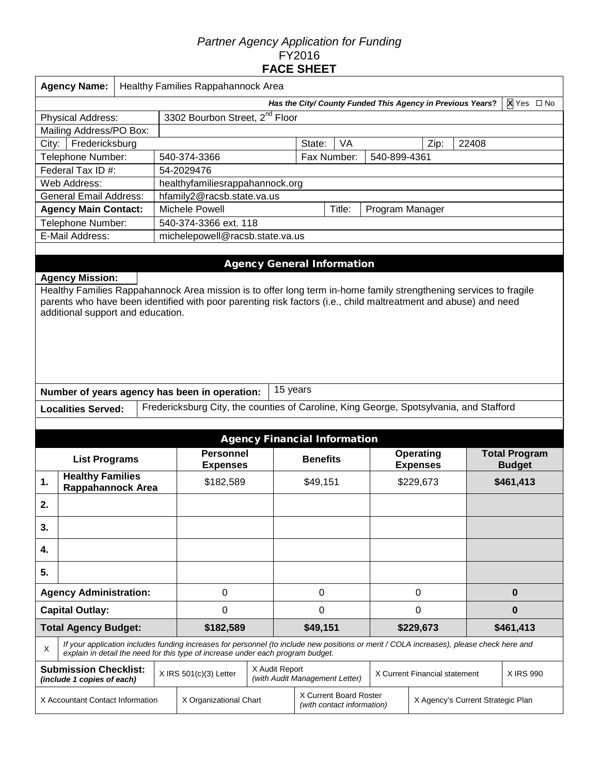# *Partner Agency Application for Funding*  FY2016 **FACE SHEET**

| <b>Agency Name:</b><br>Healthy Families Rappahannock Area                |                                                                                                                                                                                                                                                                                                                                                                  |  |                                                                                                                                                                                                                             |                |                                     |          |              |                               |       |                                       |  |
|--------------------------------------------------------------------------|------------------------------------------------------------------------------------------------------------------------------------------------------------------------------------------------------------------------------------------------------------------------------------------------------------------------------------------------------------------|--|-----------------------------------------------------------------------------------------------------------------------------------------------------------------------------------------------------------------------------|----------------|-------------------------------------|----------|--------------|-------------------------------|-------|---------------------------------------|--|
| X Yes □ No<br>Has the City/ County Funded This Agency in Previous Years? |                                                                                                                                                                                                                                                                                                                                                                  |  |                                                                                                                                                                                                                             |                |                                     |          |              |                               |       |                                       |  |
| 3302 Bourbon Street, 2 <sup>nd</sup> Floor<br><b>Physical Address:</b>   |                                                                                                                                                                                                                                                                                                                                                                  |  |                                                                                                                                                                                                                             |                |                                     |          |              |                               |       |                                       |  |
| Mailing Address/PO Box:                                                  |                                                                                                                                                                                                                                                                                                                                                                  |  |                                                                                                                                                                                                                             |                |                                     |          |              |                               |       |                                       |  |
| Fredericksburg<br>City:                                                  |                                                                                                                                                                                                                                                                                                                                                                  |  |                                                                                                                                                                                                                             |                | State:                              | VA       |              | Zip:                          | 22408 |                                       |  |
| Telephone Number:                                                        |                                                                                                                                                                                                                                                                                                                                                                  |  | 540-374-3366                                                                                                                                                                                                                |                | Fax Number:                         |          | 540-899-4361 |                               |       |                                       |  |
| Federal Tax ID #:                                                        |                                                                                                                                                                                                                                                                                                                                                                  |  | 54-2029476                                                                                                                                                                                                                  |                |                                     |          |              |                               |       |                                       |  |
| Web Address:                                                             |                                                                                                                                                                                                                                                                                                                                                                  |  | healthyfamiliesrappahannock.org                                                                                                                                                                                             |                |                                     |          |              |                               |       |                                       |  |
| <b>General Email Address:</b>                                            |                                                                                                                                                                                                                                                                                                                                                                  |  | hfamily2@racsb.state.va.us                                                                                                                                                                                                  |                |                                     |          |              |                               |       |                                       |  |
| <b>Agency Main Contact:</b>                                              |                                                                                                                                                                                                                                                                                                                                                                  |  | Michele Powell<br>Title:<br>Program Manager                                                                                                                                                                                 |                |                                     |          |              |                               |       |                                       |  |
| Telephone Number:                                                        |                                                                                                                                                                                                                                                                                                                                                                  |  | 540-374-3366 ext. 118                                                                                                                                                                                                       |                |                                     |          |              |                               |       |                                       |  |
| E-Mail Address:                                                          |                                                                                                                                                                                                                                                                                                                                                                  |  | michelepowell@racsb.state.va.us                                                                                                                                                                                             |                |                                     |          |              |                               |       |                                       |  |
|                                                                          | <b>Agency Mission:</b><br>Healthy Families Rappahannock Area mission is to offer long term in-home family strengthening services to fragile<br>parents who have been identified with poor parenting risk factors (i.e., child maltreatment and abuse) and need<br>additional support and education.<br>15 years<br>Number of years agency has been in operation: |  |                                                                                                                                                                                                                             |                |                                     |          |              |                               |       |                                       |  |
| <b>Localities Served:</b>                                                |                                                                                                                                                                                                                                                                                                                                                                  |  | Fredericksburg City, the counties of Caroline, King George, Spotsylvania, and Stafford                                                                                                                                      |                |                                     |          |              |                               |       |                                       |  |
|                                                                          |                                                                                                                                                                                                                                                                                                                                                                  |  |                                                                                                                                                                                                                             |                |                                     |          |              |                               |       |                                       |  |
|                                                                          |                                                                                                                                                                                                                                                                                                                                                                  |  |                                                                                                                                                                                                                             |                | <b>Agency Financial Information</b> |          |              |                               |       |                                       |  |
| <b>List Programs</b>                                                     |                                                                                                                                                                                                                                                                                                                                                                  |  | <b>Personnel</b><br><b>Expenses</b>                                                                                                                                                                                         |                | <b>Benefits</b>                     |          |              | Operating<br><b>Expenses</b>  |       | <b>Total Program</b><br><b>Budget</b> |  |
| <b>Healthy Families</b><br>1.<br>Rappahannock Area                       |                                                                                                                                                                                                                                                                                                                                                                  |  | \$182,589                                                                                                                                                                                                                   |                | \$49,151                            |          |              | \$229,673                     |       | \$461,413                             |  |
| 2.                                                                       |                                                                                                                                                                                                                                                                                                                                                                  |  |                                                                                                                                                                                                                             |                |                                     |          |              |                               |       |                                       |  |
| 3.                                                                       |                                                                                                                                                                                                                                                                                                                                                                  |  |                                                                                                                                                                                                                             |                |                                     |          |              |                               |       |                                       |  |
| 4.                                                                       |                                                                                                                                                                                                                                                                                                                                                                  |  |                                                                                                                                                                                                                             |                |                                     |          |              |                               |       |                                       |  |
| 5.                                                                       |                                                                                                                                                                                                                                                                                                                                                                  |  |                                                                                                                                                                                                                             |                |                                     |          |              |                               |       |                                       |  |
| <b>Agency Administration:</b>                                            |                                                                                                                                                                                                                                                                                                                                                                  |  | 0                                                                                                                                                                                                                           |                | 0                                   |          |              | 0                             |       | $\bf{0}$                              |  |
| <b>Capital Outlay:</b>                                                   |                                                                                                                                                                                                                                                                                                                                                                  |  | 0                                                                                                                                                                                                                           |                | 0                                   |          | 0            |                               |       | $\bf{0}$                              |  |
| <b>Total Agency Budget:</b>                                              |                                                                                                                                                                                                                                                                                                                                                                  |  | \$182,589                                                                                                                                                                                                                   |                |                                     | \$49,151 |              | \$229,673                     |       | \$461,413                             |  |
| X                                                                        |                                                                                                                                                                                                                                                                                                                                                                  |  | If your application includes funding increases for personnel (to include new positions or merit / COLA increases), please check here and<br>explain in detail the need for this type of increase under each program budget. |                |                                     |          |              |                               |       |                                       |  |
| <b>Submission Checklist:</b><br>(include 1 copies of each)               |                                                                                                                                                                                                                                                                                                                                                                  |  | $X$ IRS 501(c)(3) Letter                                                                                                                                                                                                    | X Audit Report | (with Audit Management Letter)      |          |              | X Current Financial statement |       | X IRS 990                             |  |
| X Accountant Contact Information                                         |                                                                                                                                                                                                                                                                                                                                                                  |  | X Current Board Roster<br>X Organizational Chart<br>X Agency's Current Strategic Plan<br>(with contact information)                                                                                                         |                |                                     |          |              |                               |       |                                       |  |

Π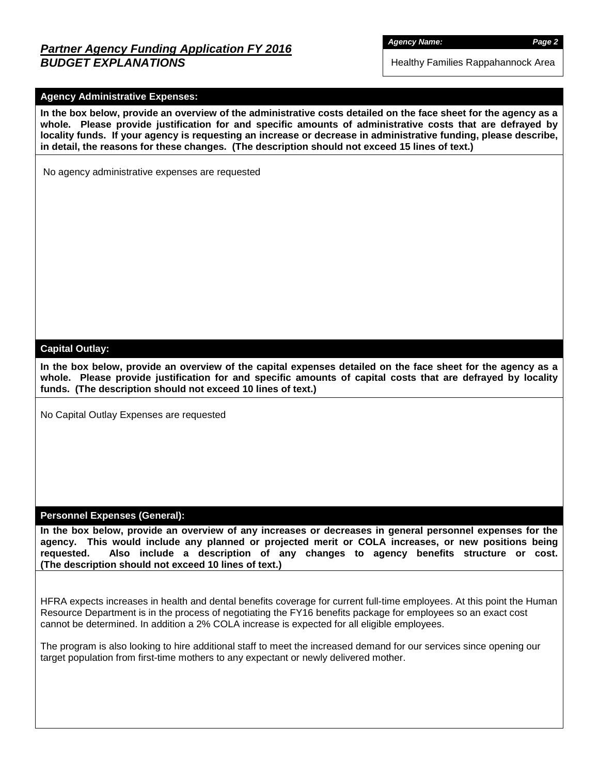# *Partner Agency Funding Application FY 2016 BUDGET EXPLANATIONS*

*Agency Name: Page 2*

Healthy Families Rappahannock Area

## **Agency Administrative Expenses:**

**In the box below, provide an overview of the administrative costs detailed on the face sheet for the agency as a whole. Please provide justification for and specific amounts of administrative costs that are defrayed by locality funds. If your agency is requesting an increase or decrease in administrative funding, please describe, in detail, the reasons for these changes. (The description should not exceed 15 lines of text.)**

No agency administrative expenses are requested

#### **Capital Outlay:**

**In the box below, provide an overview of the capital expenses detailed on the face sheet for the agency as a whole. Please provide justification for and specific amounts of capital costs that are defrayed by locality funds. (The description should not exceed 10 lines of text.)**

No Capital Outlay Expenses are requested

#### **Personnel Expenses (General):**

**In the box below, provide an overview of any increases or decreases in general personnel expenses for the agency. This would include any planned or projected merit or COLA increases, or new positions being requested. Also include a description of any changes to agency benefits structure or cost. (The description should not exceed 10 lines of text.)**

HFRA expects increases in health and dental benefits coverage for current full-time employees. At this point the Human Resource Department is in the process of negotiating the FY16 benefits package for employees so an exact cost cannot be determined. In addition a 2% COLA increase is expected for all eligible employees.

The program is also looking to hire additional staff to meet the increased demand for our services since opening our target population from first-time mothers to any expectant or newly delivered mother.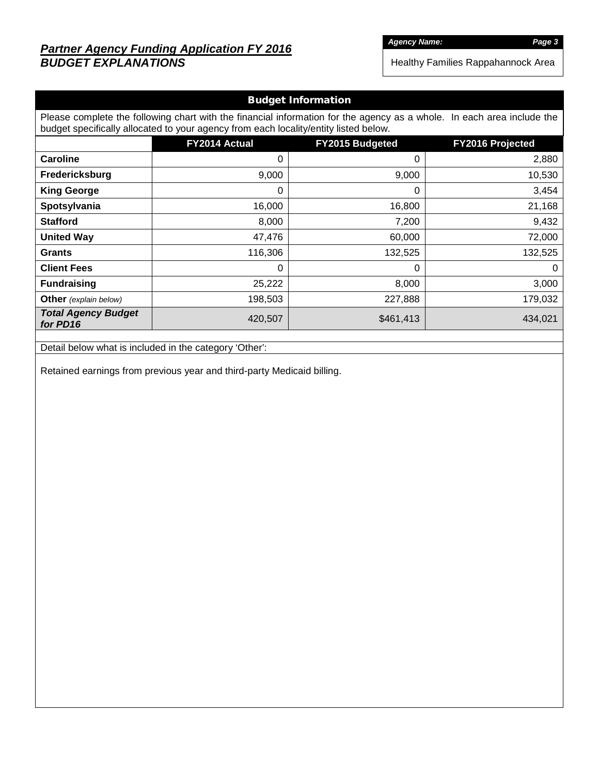# *Partner Agency Funding Application FY 2016 BUDGET EXPLANATIONS*

*Agency Name: Page 3*

Healthy Families Rappahannock Area

# Budget Information

Please complete the following chart with the financial information for the agency as a whole. In each area include the budget specifically allocated to your agency from each locality/entity listed below.

|                                        | FY2014 Actual | <b>FY2015 Budgeted</b> | FY2016 Projected |
|----------------------------------------|---------------|------------------------|------------------|
| <b>Caroline</b>                        | 0             | 0                      | 2,880            |
| Fredericksburg                         | 9,000         | 9,000                  | 10,530           |
| <b>King George</b>                     | 0             | 0                      | 3,454            |
| Spotsylvania                           | 16,000        | 16,800                 | 21,168           |
| <b>Stafford</b>                        | 8,000         | 7,200                  | 9,432            |
| <b>United Way</b>                      | 47,476        | 60,000                 | 72,000           |
| <b>Grants</b>                          | 116,306       | 132,525                | 132,525          |
| <b>Client Fees</b>                     | 0             | 0                      | $\mathbf 0$      |
| <b>Fundraising</b>                     | 25,222        | 8,000                  | 3,000            |
| <b>Other</b> (explain below)           | 198,503       | 227,888                | 179,032          |
| <b>Total Agency Budget</b><br>for PD16 | 420,507       | \$461,413              | 434,021          |

Detail below what is included in the category 'Other':

Retained earnings from previous year and third-party Medicaid billing.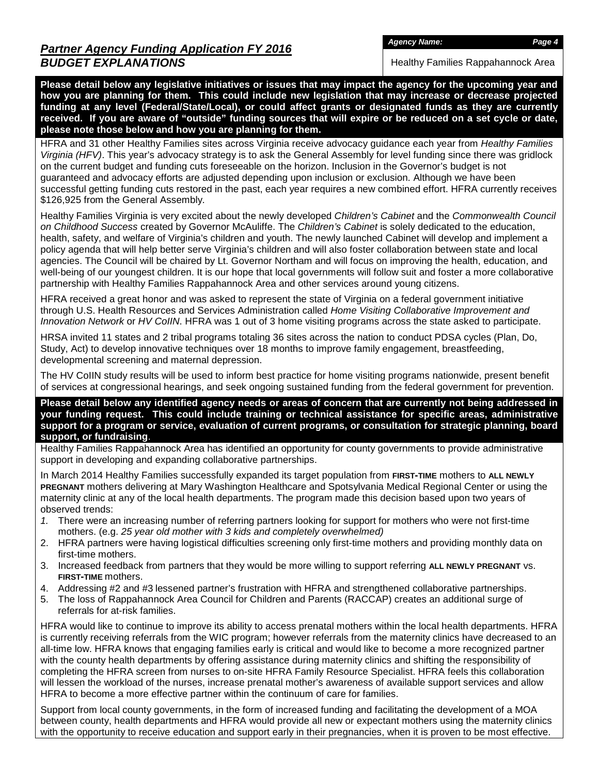Healthy Families Rappahannock Area

**Please detail below any legislative initiatives or issues that may impact the agency for the upcoming year and how you are planning for them. This could include new legislation that may increase or decrease projected funding at any level (Federal/State/Local), or could affect grants or designated funds as they are currently received. If you are aware of "outside" funding sources that will expire or be reduced on a set cycle or date, please note those below and how you are planning for them.**

HFRA and 31 other Healthy Families sites across Virginia receive advocacy guidance each year from *Healthy Families Virginia (HFV)*. This year's advocacy strategy is to ask the General Assembly for level funding since there was gridlock on the current budget and funding cuts foreseeable on the horizon. Inclusion in the Governor's budget is not guaranteed and advocacy efforts are adjusted depending upon inclusion or exclusion. Although we have been successful getting funding cuts restored in the past, each year requires a new combined effort. HFRA currently receives \$126,925 from the General Assembly.

Healthy Families Virginia is very excited about the newly developed *Children's Cabinet* and the *Commonwealth Council on Childhood Success* created by Governor McAuliffe. The *Children's Cabinet* is solely dedicated to the education, health, safety, and welfare of Virginia's children and youth. The newly launched Cabinet will develop and implement a policy agenda that will help better serve Virginia's children and will also foster collaboration between state and local agencies. The Council will be chaired by Lt. Governor Northam and will focus on improving the health, education, and well-being of our youngest children. It is our hope that local governments will follow suit and foster a more collaborative partnership with Healthy Families Rappahannock Area and other services around young citizens.

HFRA received a great honor and was asked to represent the state of Virginia on a federal government initiative through U.S. Health Resources and Services Administration called *Home Visiting Collaborative Improvement and Innovation Network* or *HV CoIIN*. HFRA was 1 out of 3 home visiting programs across the state asked to participate.

HRSA invited 11 states and 2 tribal programs totaling 36 sites across the nation to conduct PDSA cycles (Plan, Do, Study, Act) to develop innovative techniques over 18 months to improve family engagement, breastfeeding, developmental screening and maternal depression.

The HV CoIIN study results will be used to inform best practice for home visiting programs nationwide, present benefit of services at congressional hearings, and seek ongoing sustained funding from the federal government for prevention.

**Please detail below any identified agency needs or areas of concern that are currently not being addressed in your funding request. This could include training or technical assistance for specific areas, administrative support for a program or service, evaluation of current programs, or consultation for strategic planning, board support, or fundraising**.

Healthy Families Rappahannock Area has identified an opportunity for county governments to provide administrative support in developing and expanding collaborative partnerships.

In March 2014 Healthy Families successfully expanded its target population from **FIRST-TIME** mothers to **ALL NEWLY PREGNANT** mothers delivering at Mary Washington Healthcare and Spotsylvania Medical Regional Center or using the maternity clinic at any of the local health departments. The program made this decision based upon two years of observed trends:

- *1.* There were an increasing number of referring partners looking for support for mothers who were not first-time mothers. (e.g. *25 year old mother with 3 kids and completely overwhelmed)*
- 2. HFRA partners were having logistical difficulties screening only first-time mothers and providing monthly data on first-time mothers.
- 3. Increased feedback from partners that they would be more willing to support referring **ALL NEWLY PREGNANT** vs. **FIRST-TIME** mothers.
- 4. Addressing #2 and #3 lessened partner's frustration with HFRA and strengthened collaborative partnerships.
- 5. The loss of Rappahannock Area Council for Children and Parents (RACCAP) creates an additional surge of referrals for at-risk families.

HFRA would like to continue to improve its ability to access prenatal mothers within the local health departments. HFRA is currently receiving referrals from the WIC program; however referrals from the maternity clinics have decreased to an all-time low. HFRA knows that engaging families early is critical and would like to become a more recognized partner with the county health departments by offering assistance during maternity clinics and shifting the responsibility of completing the HFRA screen from nurses to on-site HFRA Family Resource Specialist. HFRA feels this collaboration will lessen the workload of the nurses, increase prenatal mother's awareness of available support services and allow HFRA to become a more effective partner within the continuum of care for families.

Support from local county governments, in the form of increased funding and facilitating the development of a MOA between county, health departments and HFRA would provide all new or expectant mothers using the maternity clinics with the opportunity to receive education and support early in their pregnancies, when it is proven to be most effective.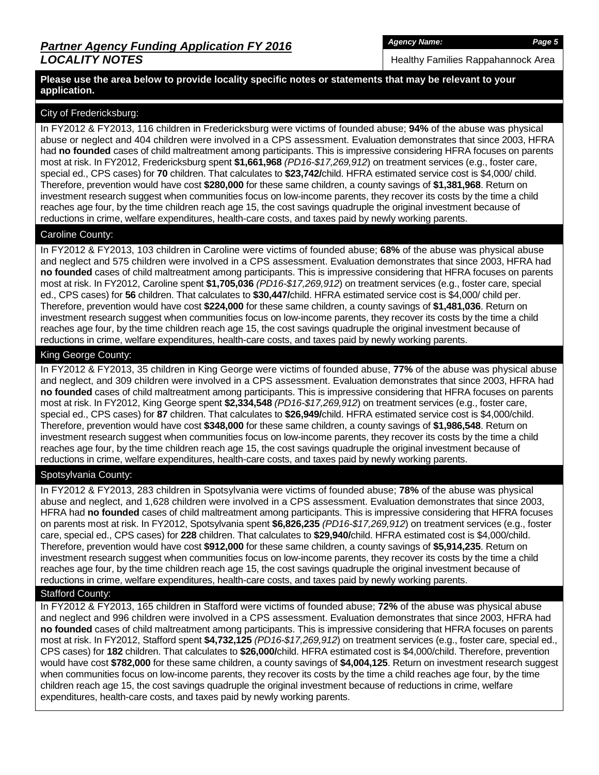Healthy Families Rappahannock Area

#### **Please use the area below to provide locality specific notes or statements that may be relevant to your application.**

### City of Fredericksburg:

In FY2012 & FY2013, 116 children in Fredericksburg were victims of founded abuse; **94%** of the abuse was physical abuse or neglect and 404 children were involved in a CPS assessment. Evaluation demonstrates that since 2003, HFRA had **no founded** cases of child maltreatment among participants. This is impressive considering HFRA focuses on parents most at risk. In FY2012, Fredericksburg spent **\$1,661,968** *(PD16-\$17,269,912*) on treatment services (e.g., foster care, special ed., CPS cases) for **70** children. That calculates to **\$23,742/**child. HFRA estimated service cost is \$4,000/ child. Therefore, prevention would have cost **\$280,000** for these same children, a county savings of **\$1,381,968**. Return on investment research suggest when communities focus on low-income parents, they recover its costs by the time a child reaches age four, by the time children reach age 15, the cost savings quadruple the original investment because of reductions in crime, welfare expenditures, health-care costs, and taxes paid by newly working parents.

#### Caroline County:

In FY2012 & FY2013, 103 children in Caroline were victims of founded abuse; **68%** of the abuse was physical abuse and neglect and 575 children were involved in a CPS assessment. Evaluation demonstrates that since 2003, HFRA had **no founded** cases of child maltreatment among participants. This is impressive considering that HFRA focuses on parents most at risk. In FY2012, Caroline spent **\$1,705,036** *(PD16-\$17,269,912*) on treatment services (e.g., foster care, special ed., CPS cases) for **56** children. That calculates to **\$30,447/**child. HFRA estimated service cost is \$4,000/ child per. Therefore, prevention would have cost **\$224,000** for these same children, a county savings of **\$1,481,036**. Return on investment research suggest when communities focus on low-income parents, they recover its costs by the time a child reaches age four, by the time children reach age 15, the cost savings quadruple the original investment because of reductions in crime, welfare expenditures, health-care costs, and taxes paid by newly working parents.

## King George County:

In FY2012 & FY2013, 35 children in King George were victims of founded abuse, **77%** of the abuse was physical abuse and neglect, and 309 children were involved in a CPS assessment. Evaluation demonstrates that since 2003, HFRA had **no founded** cases of child maltreatment among participants. This is impressive considering that HFRA focuses on parents most at risk. In FY2012, King George spent **\$2,334,548** *(PD16-\$17,269,912*) on treatment services (e.g., foster care, special ed., CPS cases) for **87** children. That calculates to **\$26,949/**child. HFRA estimated service cost is \$4,000/child. Therefore, prevention would have cost **\$348,000** for these same children, a county savings of **\$1,986,548**. Return on investment research suggest when communities focus on low-income parents, they recover its costs by the time a child reaches age four, by the time children reach age 15, the cost savings quadruple the original investment because of reductions in crime, welfare expenditures, health-care costs, and taxes paid by newly working parents.

### Spotsylvania County:

In FY2012 & FY2013, 283 children in Spotsylvania were victims of founded abuse; **78%** of the abuse was physical abuse and neglect, and 1,628 children were involved in a CPS assessment. Evaluation demonstrates that since 2003, HFRA had **no founded** cases of child maltreatment among participants. This is impressive considering that HFRA focuses on parents most at risk. In FY2012, Spotsylvania spent **\$6,826,235** *(PD16-\$17,269,912*) on treatment services (e.g., foster care, special ed., CPS cases) for **228** children. That calculates to **\$29,940/**child. HFRA estimated cost is \$4,000/child. Therefore, prevention would have cost **\$912,000** for these same children, a county savings of **\$5,914,235**. Return on investment research suggest when communities focus on low-income parents, they recover its costs by the time a child reaches age four, by the time children reach age 15, the cost savings quadruple the original investment because of reductions in crime, welfare expenditures, health-care costs, and taxes paid by newly working parents.

#### Stafford County:

In FY2012 & FY2013, 165 children in Stafford were victims of founded abuse; **72%** of the abuse was physical abuse and neglect and 996 children were involved in a CPS assessment. Evaluation demonstrates that since 2003, HFRA had **no founded** cases of child maltreatment among participants. This is impressive considering that HFRA focuses on parents most at risk. In FY2012, Stafford spent **\$4,732,125** *(PD16-\$17,269,912*) on treatment services (e.g., foster care, special ed., CPS cases) for **182** children. That calculates to **\$26,000/**child. HFRA estimated cost is \$4,000/child. Therefore, prevention would have cost **\$782,000** for these same children, a county savings of **\$4,004,125**. Return on investment research suggest when communities focus on low-income parents, they recover its costs by the time a child reaches age four, by the time children reach age 15, the cost savings quadruple the original investment because of reductions in crime, welfare expenditures, health-care costs, and taxes paid by newly working parents.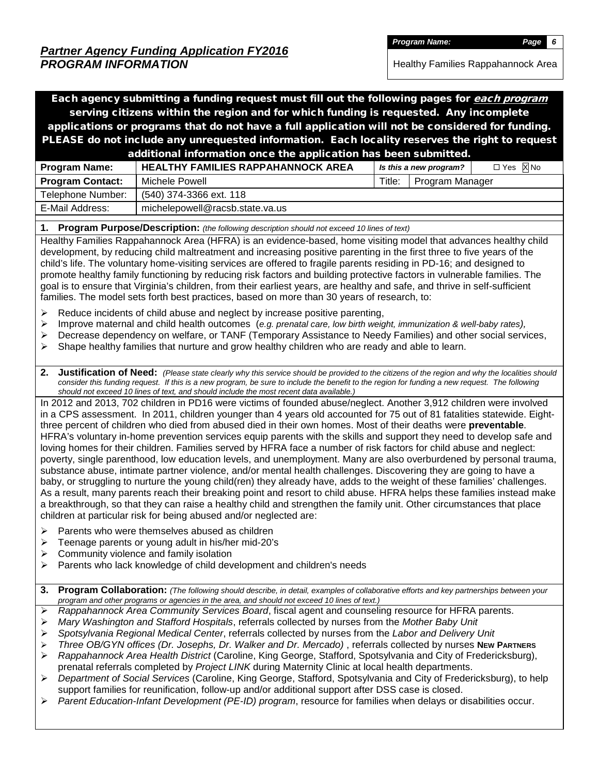Healthy Families Rappahannock Area

Each agency submitting a funding request must fill out the following pages for each program serving citizens within the region and for which funding is requested. Any incomplete applications or programs that do not have a full application will not be considered for funding. PLEASE do not include any unrequested information. Each locality reserves the right to request additional information once the application has been submitted. **Program Name: HEALTHY FAMILIES RAPPAHANNOCK AREA** *Is this a new program*?  $\Box$  Yes  $\overline{\boxtimes}$  No

| $\cdots$                |                                 |        |                 |  |
|-------------------------|---------------------------------|--------|-----------------|--|
| <b>Program Contact:</b> | Michele Powell                  | Title: | Program Manager |  |
| Telephone Number:       | (540) 374-3366 ext. 118         |        |                 |  |
| E-Mail Address:         | michelepowell@racsb.state.va.us |        |                 |  |
|                         |                                 |        |                 |  |

**1. Program Purpose/Description:** *(the following description should not exceed 10 lines of text)*

Healthy Families Rappahannock Area (HFRA) is an evidence-based, home visiting model that advances healthy child development, by reducing child maltreatment and increasing positive parenting in the first three to five years of the child's life. The voluntary home-visiting services are offered to fragile parents residing in PD-16; and designed to promote healthy family functioning by reducing risk factors and building protective factors in vulnerable families. The goal is to ensure that Virginia's children, from their earliest years, are healthy and safe, and thrive in self-sufficient families. The model sets forth best practices, based on more than 30 years of research, to:

- $\triangleright$  Reduce incidents of child abuse and neglect by increase positive parenting,
- Improve maternal and child health outcomes (*e.g. prenatal care, low birth weight, immunization & well-baby rates),*
- Decrease dependency on welfare, or TANF (Temporary Assistance to Needy Families) and other social services,
- $\triangleright$  Shape healthy families that nurture and grow healthy children who are ready and able to learn.
- **2. Justification of Need:** *(Please state clearly why this service should be provided to the citizens of the region and why the localities should consider this funding request. If this is a new program, be sure to include the benefit to the region for funding a new request. The following should not exceed 10 lines of text, and should include the most recent data available.)*

In 2012 and 2013, 702 children in PD16 were victims of founded abuse/neglect. Another 3,912 children were involved in a CPS assessment. In 2011, children younger than 4 years old accounted for 75 out of 81 fatalities statewide. Eightthree percent of children who died from abused died in their own homes. Most of their deaths were **preventable**. HFRA's voluntary in-home prevention services equip parents with the skills and support they need to develop safe and loving homes for their children. Families served by HFRA face a number of risk factors for child abuse and neglect: poverty, single parenthood, low education levels, and unemployment. Many are also overburdened by personal trauma, substance abuse, intimate partner violence, and/or mental health challenges. Discovering they are going to have a baby, or struggling to nurture the young child(ren) they already have, adds to the weight of these families' challenges. As a result, many parents reach their breaking point and resort to child abuse. HFRA helps these families instead make a breakthrough, so that they can raise a healthy child and strengthen the family unit. Other circumstances that place children at particular risk for being abused and/or neglected are:

- $\triangleright$  Parents who were themselves abused as children
- **EXECUTE:** The parents or young adult in his/her mid-20's
- $\triangleright$  Community violence and family isolation
- $\triangleright$  Parents who lack knowledge of child development and children's needs
- **3. Program Collaboration:** *(The following should describe, in detail, examples of collaborative efforts and key partnerships between your program and other programs or agencies in the area, and should not exceed 10 lines of text.)*
- *Rappahannock Area Community Services Board*, fiscal agent and counseling resource for HFRA parents.
- *Mary Washington and Stafford Hospitals*, referrals collected by nurses from the *Mother Baby Unit*
- *Spotsylvania Regional Medical Center*, referrals collected by nurses from the *Labor and Delivery Unit*
- *Three OB/GYN offices (Dr. Josephs, Dr. Walker and Dr. Mercado)* , referrals collected by nurses **NEW PARTNERS**
- *Rappahannock Area Health District* (Caroline, King George, Stafford, Spotsylvania and City of Fredericksburg), prenatal referrals completed by *Project LINK* during Maternity Clinic at local health departments.
- *Department of Social Services* (Caroline, King George, Stafford, Spotsylvania and City of Fredericksburg), to help support families for reunification, follow-up and/or additional support after DSS case is closed.
- *Parent Education-Infant Development (PE-ID) program*, resource for families when delays or disabilities occur.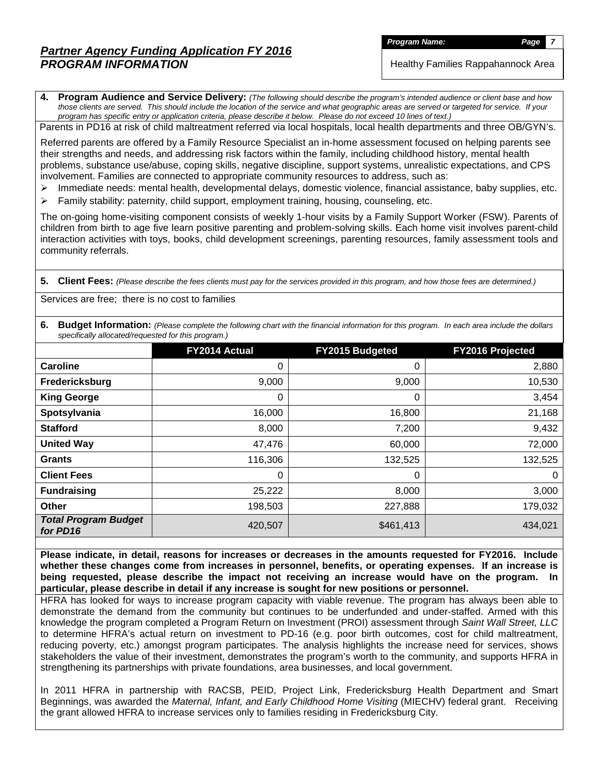# *Partner Agency Funding Application FY 2016 PROGRAM INFORMATION*

**Program Name:** *Page* 

Healthy Families Rappahannock Area

**4. Program Audience and Service Delivery:** *(The following should describe the program's intended audience or client base and how those clients are served. This should include the location of the service and what geographic areas are served or targeted for service. If your program has specific entry or application criteria, please describe it below. Please do not exceed 10 lines of text.)*

Parents in PD16 at risk of child maltreatment referred via local hospitals, local health departments and three OB/GYN's.

Referred parents are offered by a Family Resource Specialist an in-home assessment focused on helping parents see their strengths and needs, and addressing risk factors within the family, including childhood history, mental health problems, substance use/abuse, coping skills, negative discipline, support systems, unrealistic expectations, and CPS involvement. Families are connected to appropriate community resources to address, such as:

- $\triangleright$  Immediate needs: mental health, developmental delays, domestic violence, financial assistance, baby supplies, etc.
- $\triangleright$  Family stability: paternity, child support, employment training, housing, counseling, etc.

The on-going home-visiting component consists of weekly 1-hour visits by a Family Support Worker (FSW). Parents of children from birth to age five learn positive parenting and problem-solving skills. Each home visit involves parent-child interaction activities with toys, books, child development screenings, parenting resources, family assessment tools and community referrals.

**5. Client Fees:** *(Please describe the fees clients must pay for the services provided in this program, and how those fees are determined.)*

Services are free; there is no cost to families

**6. Budget Information:** *(Please complete the following chart with the financial information for this program. In each area include the dollars specifically allocated/requested for this program.)*

|                                         | FY2014 Actual | FY2015 Budgeted | FY2016 Projected |
|-----------------------------------------|---------------|-----------------|------------------|
| Caroline                                | 0             | 0               | 2,880            |
| Fredericksburg                          | 9,000         | 9,000           | 10,530           |
| <b>King George</b>                      | 0             | 0               | 3,454            |
| Spotsylvania                            | 16,000        | 16,800          | 21,168           |
| <b>Stafford</b>                         | 8,000         | 7,200           | 9,432            |
| <b>United Way</b>                       | 47,476        | 60,000          | 72,000           |
| Grants                                  | 116,306       | 132,525         | 132,525          |
| <b>Client Fees</b>                      | 0             | 0               | 0                |
| <b>Fundraising</b>                      | 25,222        | 8,000           | 3,000            |
| Other                                   | 198,503       | 227,888         | 179,032          |
| <b>Total Program Budget</b><br>for PD16 | 420,507       | \$461,413       | 434,021          |

**Please indicate, in detail, reasons for increases or decreases in the amounts requested for FY2016. Include whether these changes come from increases in personnel, benefits, or operating expenses. If an increase is being requested, please describe the impact not receiving an increase would have on the program. In particular, please describe in detail if any increase is sought for new positions or personnel.**

HFRA has looked for ways to increase program capacity with viable revenue. The program has always been able to demonstrate the demand from the community but continues to be underfunded and under-staffed. Armed with this knowledge the program completed a Program Return on Investment (PROI) assessment through *Saint Wall Street, LLC* to determine HFRA's actual return on investment to PD-16 (e.g. poor birth outcomes, cost for child maltreatment, reducing poverty, etc.) amongst program participates. The analysis highlights the increase need for services, shows stakeholders the value of their investment, demonstrates the program's worth to the community, and supports HFRA in strengthening its partnerships with private foundations, area businesses, and local government.

In 2011 HFRA in partnership with RACSB, PEID, Project Link, Fredericksburg Health Department and Smart Beginnings, was awarded the *Maternal, Infant, and Early Childhood Home Visiting* (MIECHV) federal grant. Receiving the grant allowed HFRA to increase services only to families residing in Fredericksburg City.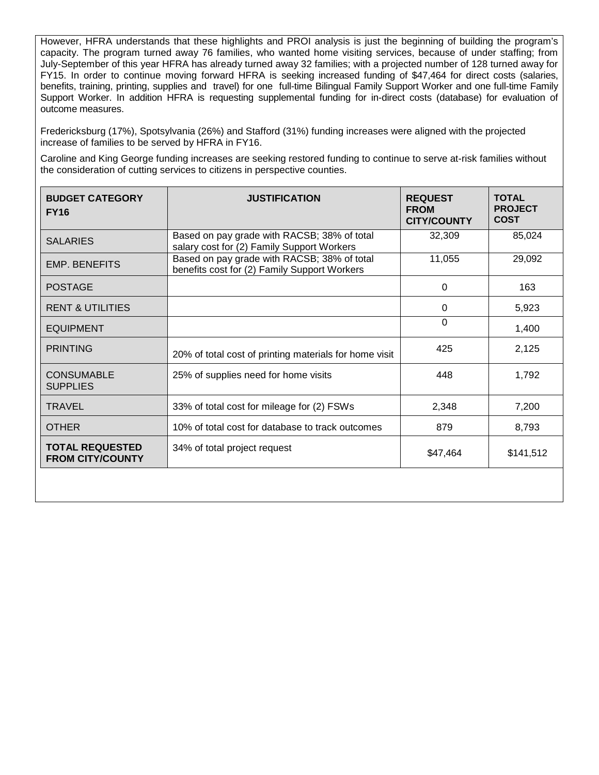However, HFRA understands that these highlights and PROI analysis is just the beginning of building the program's capacity. The program turned away 76 families, who wanted home visiting services, because of under staffing; from July-September of this year HFRA has already turned away 32 families; with a projected number of 128 turned away for FY15. In order to continue moving forward HFRA is seeking increased funding of \$47,464 for direct costs (salaries, benefits, training, printing, supplies and travel) for one full-time Bilingual Family Support Worker and one full-time Family Support Worker. In addition HFRA is requesting supplemental funding for in-direct costs (database) for evaluation of outcome measures.

Fredericksburg (17%), Spotsylvania (26%) and Stafford (31%) funding increases were aligned with the projected increase of families to be served by HFRA in FY16.

Caroline and King George funding increases are seeking restored funding to continue to serve at-risk families without the consideration of cutting services to citizens in perspective counties.

| <b>BUDGET CATEGORY</b><br><b>FY16</b>             | <b>JUSTIFICATION</b>                                                                        | <b>REQUEST</b><br><b>FROM</b><br><b>CITY/COUNTY</b> | <b>TOTAL</b><br><b>PROJECT</b><br><b>COST</b> |
|---------------------------------------------------|---------------------------------------------------------------------------------------------|-----------------------------------------------------|-----------------------------------------------|
| <b>SALARIES</b>                                   | Based on pay grade with RACSB; 38% of total<br>salary cost for (2) Family Support Workers   | 32,309                                              | 85,024                                        |
| <b>EMP. BENEFITS</b>                              | Based on pay grade with RACSB; 38% of total<br>benefits cost for (2) Family Support Workers | 11,055                                              | 29,092                                        |
| <b>POSTAGE</b>                                    |                                                                                             | $\Omega$                                            | 163                                           |
| <b>RENT &amp; UTILITIES</b>                       |                                                                                             | $\Omega$                                            | 5,923                                         |
| <b>EQUIPMENT</b>                                  |                                                                                             | $\Omega$                                            | 1,400                                         |
| <b>PRINTING</b>                                   | 20% of total cost of printing materials for home visit                                      | 425                                                 | 2,125                                         |
| <b>CONSUMABLE</b><br><b>SUPPLIES</b>              | 25% of supplies need for home visits                                                        | 448                                                 | 1,792                                         |
| <b>TRAVEL</b>                                     | 33% of total cost for mileage for (2) FSWs                                                  | 2,348                                               | 7,200                                         |
| <b>OTHER</b>                                      | 10% of total cost for database to track outcomes                                            | 879                                                 | 8,793                                         |
| <b>TOTAL REQUESTED</b><br><b>FROM CITY/COUNTY</b> | 34% of total project request                                                                | \$47,464                                            | \$141,512                                     |
|                                                   |                                                                                             |                                                     |                                               |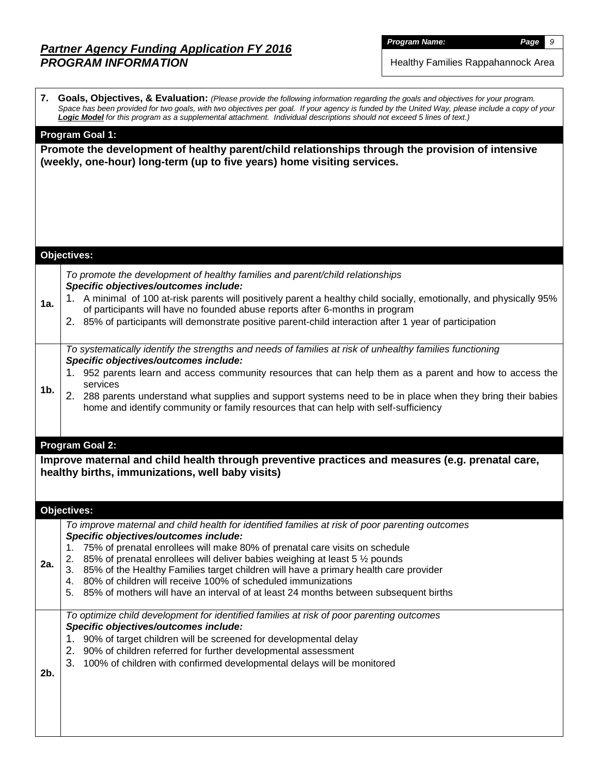# *Partner Agency Funding Application FY 2016 PROGRAM INFORMATION*

*Program Name: Page 9*

Healthy Families Rappahannock Area

|     | 7. Goals, Objectives, & Evaluation: (Please provide the following information regarding the goals and objectives for your program.<br>Space has been provided for two goals, with two objectives per goal. If your agency is funded by the United Way, please include a copy of your<br>Logic Model for this program as a supplemental attachment. Individual descriptions should not exceed 5 lines of text.) |
|-----|----------------------------------------------------------------------------------------------------------------------------------------------------------------------------------------------------------------------------------------------------------------------------------------------------------------------------------------------------------------------------------------------------------------|
|     | <b>Program Goal 1:</b><br>Promote the development of healthy parent/child relationships through the provision of intensive<br>(weekly, one-hour) long-term (up to five years) home visiting services.                                                                                                                                                                                                          |
|     |                                                                                                                                                                                                                                                                                                                                                                                                                |
|     |                                                                                                                                                                                                                                                                                                                                                                                                                |
|     | <b>Objectives:</b>                                                                                                                                                                                                                                                                                                                                                                                             |
|     | To promote the development of healthy families and parent/child relationships<br>Specific objectives/outcomes include:                                                                                                                                                                                                                                                                                         |
| 1a. | 1. A minimal of 100 at-risk parents will positively parent a healthy child socially, emotionally, and physically 95%<br>of participants will have no founded abuse reports after 6-months in program                                                                                                                                                                                                           |
|     | 2. 85% of participants will demonstrate positive parent-child interaction after 1 year of participation                                                                                                                                                                                                                                                                                                        |
|     | To systematically identify the strengths and needs of families at risk of unhealthy families functioning<br>Specific objectives/outcomes include:                                                                                                                                                                                                                                                              |
|     | 1. 952 parents learn and access community resources that can help them as a parent and how to access the<br>services                                                                                                                                                                                                                                                                                           |
| 1b. | 2. 288 parents understand what supplies and support systems need to be in place when they bring their babies<br>home and identify community or family resources that can help with self-sufficiency                                                                                                                                                                                                            |
|     |                                                                                                                                                                                                                                                                                                                                                                                                                |
|     |                                                                                                                                                                                                                                                                                                                                                                                                                |
|     | Program Goal 2:                                                                                                                                                                                                                                                                                                                                                                                                |
|     | Improve maternal and child health through preventive practices and measures (e.g. prenatal care,<br>healthy births, immunizations, well baby visits)                                                                                                                                                                                                                                                           |
|     |                                                                                                                                                                                                                                                                                                                                                                                                                |
|     | Objectives:<br>To improve maternal and child health for identified families at risk of poor parenting outcomes                                                                                                                                                                                                                                                                                                 |
|     | Specific objectives/outcomes include:<br>75% of prenatal enrollees will make 80% of prenatal care visits on schedule                                                                                                                                                                                                                                                                                           |
| 2a. | 2.<br>85% of prenatal enrollees will deliver babies weighing at least 5 1/2 pounds                                                                                                                                                                                                                                                                                                                             |
|     | 3. 85% of the Healthy Families target children will have a primary health care provider<br>4. 80% of children will receive 100% of scheduled immunizations                                                                                                                                                                                                                                                     |
|     | 85% of mothers will have an interval of at least 24 months between subsequent births<br>5.                                                                                                                                                                                                                                                                                                                     |
|     | To optimize child development for identified families at risk of poor parenting outcomes<br>Specific objectives/outcomes include:                                                                                                                                                                                                                                                                              |
|     | 1. 90% of target children will be screened for developmental delay                                                                                                                                                                                                                                                                                                                                             |
|     | 90% of children referred for further developmental assessment<br>2.<br>3.<br>100% of children with confirmed developmental delays will be monitored                                                                                                                                                                                                                                                            |
| 2b. |                                                                                                                                                                                                                                                                                                                                                                                                                |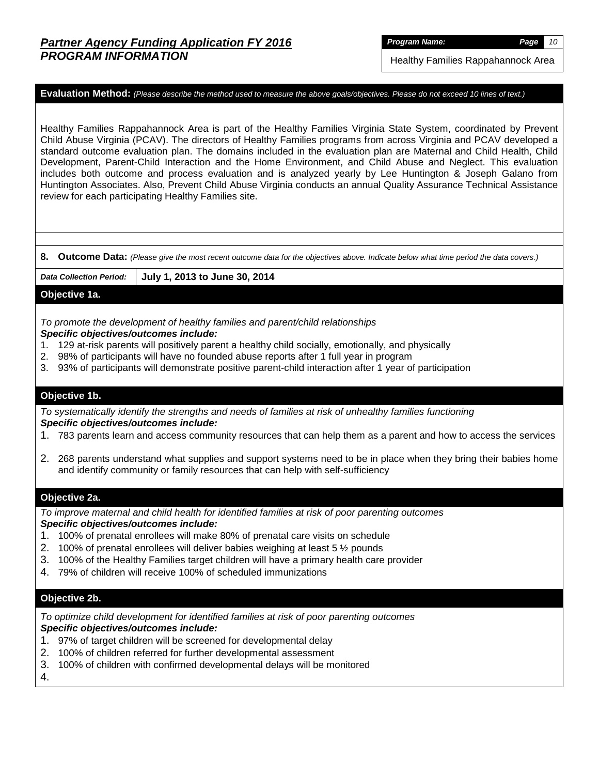*Program Name: Page 10*

Healthy Families Rappahannock Area

**Evaluation Method:** *(Please describe the method used to measure the above goals/objectives. Please do not exceed 10 lines of text.)*

Healthy Families Rappahannock Area is part of the Healthy Families Virginia State System, coordinated by Prevent Child Abuse Virginia (PCAV). The directors of Healthy Families programs from across Virginia and PCAV developed a standard outcome evaluation plan. The domains included in the evaluation plan are Maternal and Child Health, Child Development, Parent-Child Interaction and the Home Environment, and Child Abuse and Neglect. This evaluation includes both outcome and process evaluation and is analyzed yearly by Lee Huntington & Joseph Galano from Huntington Associates. Also, Prevent Child Abuse Virginia conducts an annual Quality Assurance Technical Assistance review for each participating Healthy Families site.

**8. Outcome Data:** *(Please give the most recent outcome data for the objectives above. Indicate below what time period the data covers.)*

*Data Collection Period:* **July 1, 2013 to June 30, 2014**

## **Objective 1a.**

*To promote the development of healthy families and parent/child relationships Specific objectives/outcomes include:* 

- 1. 129 at-risk parents will positively parent a healthy child socially, emotionally, and physically
- 2. 98% of participants will have no founded abuse reports after 1 full year in program
- 3. 93% of participants will demonstrate positive parent-child interaction after 1 year of participation

#### **Objective 1b.**

*To systematically identify the strengths and needs of families at risk of unhealthy families functioning Specific objectives/outcomes include:* 

- 1. 783 parents learn and access community resources that can help them as a parent and how to access the services
- 2. 268 parents understand what supplies and support systems need to be in place when they bring their babies home and identify community or family resources that can help with self-sufficiency

#### **Objective 2a.**

*To improve maternal and child health for identified families at risk of poor parenting outcomes Specific objectives/outcomes include:* 

- 1. 100% of prenatal enrollees will make 80% of prenatal care visits on schedule
- 2. 100% of prenatal enrollees will deliver babies weighing at least 5 ½ pounds
- 3. 100% of the Healthy Families target children will have a primary health care provider
- 4. 79% of children will receive 100% of scheduled immunizations

### **Objective 2b.**

*To optimize child development for identified families at risk of poor parenting outcomes Specific objectives/outcomes include:*

- 1. 97% of target children will be screened for developmental delay
- 2. 100% of children referred for further developmental assessment
- 3. 100% of children with confirmed developmental delays will be monitored
- 4.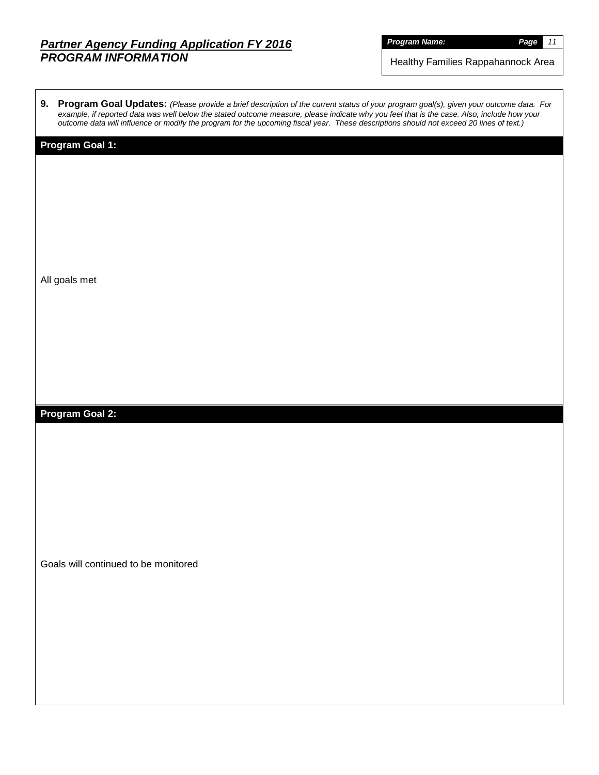## *Partner Agency Funding Application FY 2016 PROGRAM INFORMATION*

*Program Name: Page 11*

Healthy Families Rappahannock Area

| 9. Program Goal Updates: (Please provide a brief description of the current status of your program goal(s), given your outcome data. For   |
|--------------------------------------------------------------------------------------------------------------------------------------------|
| example, if reported data was well below the stated outcome measure, please indicate why you feel that is the case. Also, include how your |
| outcome data will influence or modify the program for the upcoming fiscal year. These descriptions should not exceed 20 lines of text.)    |
|                                                                                                                                            |

# **Program Goal 1:**

All goals met

**Program Goal 2:**

Goals will continued to be monitored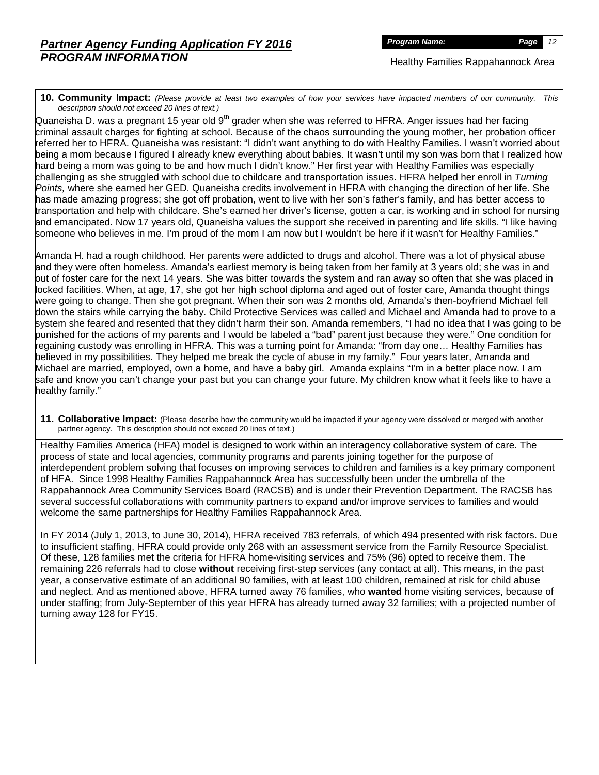*Program Name: Page 12*

Healthy Families Rappahannock Area

**10. Community Impact:** *(Please provide at least two examples of how your services have impacted members of our community. This description should not exceed 20 lines of text.)*

Quaneisha D. was a pregnant 15 year old 9<sup>th</sup> grader when she was referred to HFRA. Anger issues had her facing criminal assault charges for fighting at school. Because of the chaos surrounding the young mother, her probation officer referred her to HFRA. Quaneisha was resistant: "I didn't want anything to do with Healthy Families. I wasn't worried about being a mom because I figured I already knew everything about babies. It wasn't until my son was born that I realized how hard being a mom was going to be and how much I didn't know." Her first year with Healthy Families was especially challenging as she struggled with school due to childcare and transportation issues. HFRA helped her enroll in *Turning Points,* where she earned her GED. Quaneisha credits involvement in HFRA with changing the direction of her life. She has made amazing progress; she got off probation, went to live with her son's father's family, and has better access to transportation and help with childcare. She's earned her driver's license, gotten a car, is working and in school for nursing and emancipated. Now 17 years old, Quaneisha values the support she received in parenting and life skills. "I like having someone who believes in me. I'm proud of the mom I am now but I wouldn't be here if it wasn't for Healthy Families."

Amanda H. had a rough childhood. Her parents were addicted to drugs and alcohol. There was a lot of physical abuse and they were often homeless. Amanda's earliest memory is being taken from her family at 3 years old; she was in and out of foster care for the next 14 years. She was bitter towards the system and ran away so often that she was placed in locked facilities. When, at age, 17, she got her high school diploma and aged out of foster care, Amanda thought things were going to change. Then she got pregnant. When their son was 2 months old, Amanda's then-boyfriend Michael fell down the stairs while carrying the baby. Child Protective Services was called and Michael and Amanda had to prove to a system she feared and resented that they didn't harm their son. Amanda remembers, "I had no idea that I was going to be punished for the actions of my parents and I would be labeled a "bad" parent just because they were." One condition for regaining custody was enrolling in HFRA. This was a turning point for Amanda: "from day one… Healthy Families has believed in my possibilities. They helped me break the cycle of abuse in my family." Four years later, Amanda and Michael are married, employed, own a home, and have a baby girl. Amanda explains "I'm in a better place now. I am safe and know you can't change your past but you can change your future. My children know what it feels like to have a healthy family."

**11. Collaborative Impact:** (Please describe how the community would be impacted if your agency were dissolved or merged with another partner agency. This description should not exceed 20 lines of text.)

Healthy Families America (HFA) model is designed to work within an interagency collaborative system of care. The process of state and local agencies, community programs and parents joining together for the purpose of interdependent problem solving that focuses on improving services to children and families is a key primary component of HFA. Since 1998 Healthy Families Rappahannock Area has successfully been under the umbrella of the Rappahannock Area Community Services Board (RACSB) and is under their Prevention Department. The RACSB has several successful collaborations with community partners to expand and/or improve services to families and would welcome the same partnerships for Healthy Families Rappahannock Area.

In FY 2014 (July 1, 2013, to June 30, 2014), HFRA received 783 referrals, of which 494 presented with risk factors. Due to insufficient staffing, HFRA could provide only 268 with an assessment service from the Family Resource Specialist. Of these, 128 families met the criteria for HFRA home-visiting services and 75% (96) opted to receive them. The remaining 226 referrals had to close **without** receiving first-step services (any contact at all). This means, in the past year, a conservative estimate of an additional 90 families, with at least 100 children, remained at risk for child abuse and neglect. And as mentioned above, HFRA turned away 76 families, who **wanted** home visiting services, because of under staffing; from July-September of this year HFRA has already turned away 32 families; with a projected number of turning away 128 for FY15.